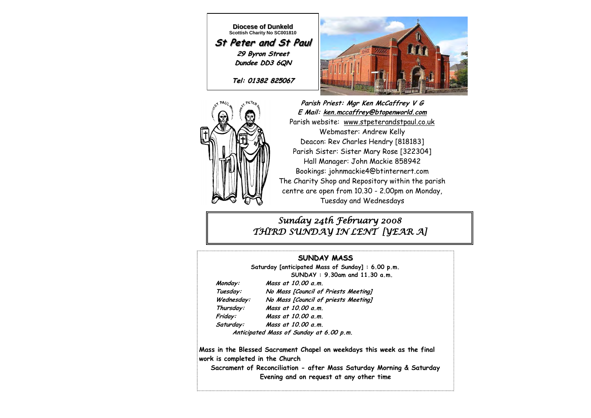**Diocese of Dunkeld Scottish Charity No SC001810 St Peter and St Paul 29 Byron Street Dundee DD3 6QN**

**Tel: 01382 825067**





**Parish Priest: Mgr Ken McCaffrey V G E Mail: ken.mccaffrey@btopenworld.com** Parish website: www.stpeterandstpaul.co.uk Webmaster: Andrew Kelly Deacon: Rev Charles Hendry [818183] Parish Sister: Sister Mary Rose [322304] Hall Manager: John Mackie 858942 Bookings: johnmackie4@btinternert.com The Charity Shop and Repository within the parish centre are open from 10.30 - 2.00pm on Monday, Tuesday and Wednesdays

### *Sunday 24th February 2008 THIRD SUNDAY IN LENT [YEAR A]*

### **SUNDAY MASS**

**Saturday [anticipated Mass of Sunday] : 6.00 p.m. SUNDAY : 9.30am and 11.30 a.m.** 

 **Monday: Mass at 10.00 a.m. Tuesday: No Mass [Council of Priests Meeting] Wednesday: No Mass [Council of priests Meeting] Thursday: Mass at 10.00 a.m. Friday: Mass at 10.00 a.m. Saturday: Mass at 10.00 a.m.** 

 **Anticipated Mass of Sunday at 6.00 p.m.** 

**Mass in the Blessed Sacrament Chapel on weekdays this week as the final work is completed in the Church** 

**Sacrament of Reconciliation - after Mass Saturday Morning & Saturday Evening and on request at any other time**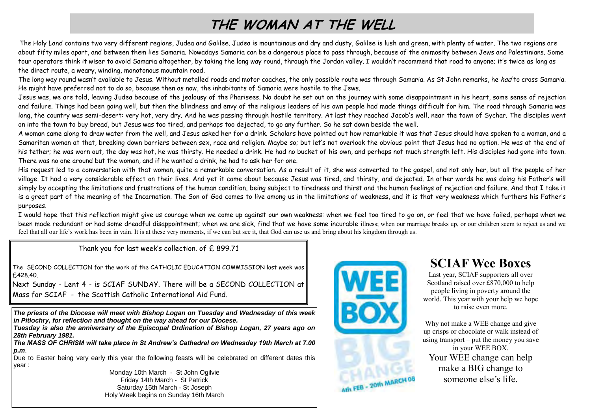# **THE WOMAN AT THE WELL**

The Holy Land contains two very different regions, Judea and Galilee. Judea is mountainous and dry and dusty, Galilee is lush and green, with plenty of water. The two regions are about fifty miles apart, and between them lies Samaria. Nowadays Samaria can be a dangerous place to pass through, because of the animosity between Jews and Palestinians. Some tour operators think it wiser to avoid Samaria altogether, by taking the long way round, through the Jordan valley. I wouldn't recommend that road to anyone; it's twice as long as the direct route, a weary, winding, monotonous mountain road.

The long way round wasn't available to Jesus. Without metalled roads and motor coaches, the only possible route was through Samaria. As St John remarks, he had to cross Samaria. He might have preferred not to do so, because then as now, the inhabitants of Samaria were hostile to the Jews.

Jesus was, we are told, leaving Judea because of the jealousy of the Pharisees. No doubt he set out on the journey with some disappointment in his heart, some sense of rejection and failure. Things had been going well, but then the blindness and envy of the religious leaders of his own people had made things difficult for him. The road through Samaria was long, the country was semi-desert: very hot, very dry. And he was passing through hostile territory. At last they reached Jacob's well, near the town of Sychar. The disciples went on into the town to buy bread, but Jesus was too tired, and perhaps too dejected, to go any further. So he sat down beside the well.

A woman came along to draw water from the well, and Jesus asked her for a drink. Scholars have pointed out how remarkable it was that Jesus should have spoken to a woman, and a Samaritan woman at that, breaking down barriers between sex, race and religion. Maybe so; but let's not overlook the obvious point that Jesus had no option. He was at the end of his tether; he was worn out, the day was hot, he was thirsty. He needed a drink. He had no bucket of his own, and perhaps not much strength left. His disciples had gone into town. There was no one around but the woman, and if he wanted a drink, he had to ask her for one.

His request led to a conversation with that woman, quite a remarkable conversation. As a result of it, she was converted to the gospel, and not only her, but all the people of her village. It had a very considerable effect on their lives. And yet it came about because Jesus was tired, and thirsty, and dejected. In other words he was doing his Father's will simply by accepting the limitations and frustrations of the human condition, being subject to tiredness and thirst and the human feelings of rejection and failure. And that I take it is a great part of the meaning of the Incarnation. The Son of God comes to live among us in the limitations of weakness, and it is that very weakness which furthers his Father's purposes.

I would hope that this reflection might give us courage when we come up against our own weakness: when we feel too tired to go on, or feel that we have failed, perhaps when we been made redundant or had some dreadful disappointment; when we are sick, find that we have some incurable illness; when our marriage breaks up, or our children seem to reject us and we feel that all our life's work has been in vain. It is at these very moments, if we can but see it, that God can use us and bring about his kingdom through us.

Thank you for last week's collection. of £ 899.71

The SECOND COLLECTION for the work of the CATHOLIC EDUCATION COMMISSION last week was £428.40.

Next Sunday - Lent 4 - is SCIAF SUNDAY. There will be a SECOND COLLECTION at Mass for SCIAF - the Scottish Catholic International Aid Fund.

*The priests of the Diocese will meet with Bishop Logan on Tuesday and Wednesday of this week in Pitlochry, for reflection and thought on the way ahead for our Diocese.* 

*Tuesday is also the anniversary of the Episcopal Ordination of Bishop Logan, 27 years ago on 28th February 1981.* 

*The MASS OF CHRISM will take place in St Andrew's Cathedral on Wednesday 19th March at 7.00 p.m*.

Due to Easter being very early this year the following feasts will be celebrated on different dates this year :

Monday 10th March - St John Ogilvie Friday 14th March - St Patrick Saturday 15th March - St Joseph Holy Week begins on Sunday 16th March



Ath FEB - 20th MARCH 08

## **SCIAF Wee Boxes**

Last year, SCIAF supporters all over Scotland raised over £870,000 to help people living in poverty around the world. This year with your help we hope to raise even more.

Why not make a WEE change and give up crisps or chocolate or walk instead of using transport – put the money you save in your WEE BOX. Your WEE change can help make a BIG change to someone else's life.